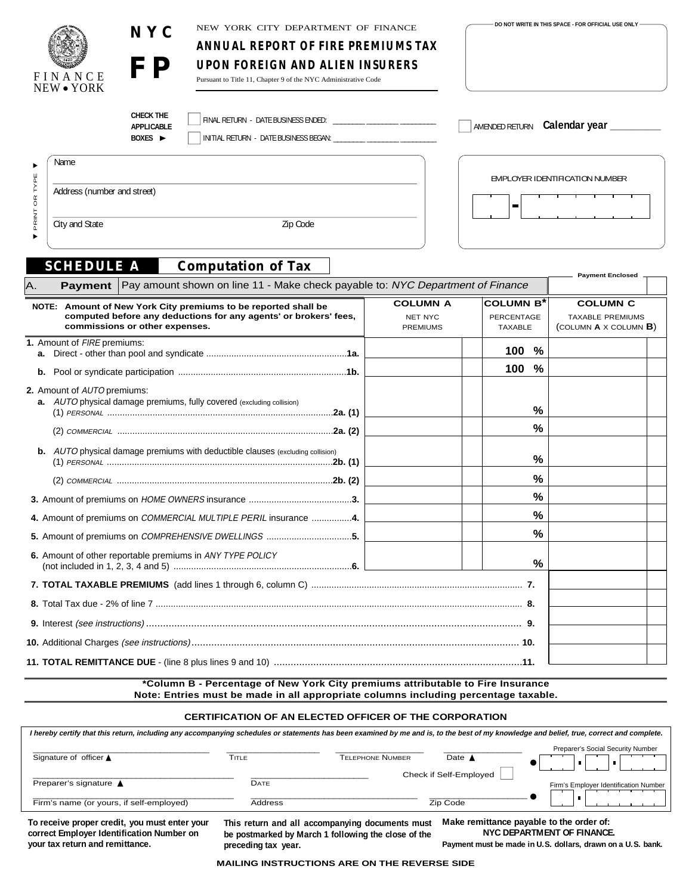| FINANCE<br>NEW • YORK                  | NEW YORK CITY DEPARTMENT OF FINANCE<br>NYC<br>ANNUAL REPORT OF FIRE PREMIUMS TAX<br><b>FP</b><br><b>UPON FOREIGN AND ALIEN INSURERS</b><br>Pursuant to Title 11, Chapter 9 of the NYC Administrative Code                                              |                                                      |                                                 | DO NOT WRITE IN THIS SPACE - FOR OFFICIAL USE ONLY                            |
|----------------------------------------|--------------------------------------------------------------------------------------------------------------------------------------------------------------------------------------------------------------------------------------------------------|------------------------------------------------------|-------------------------------------------------|-------------------------------------------------------------------------------|
|                                        | <b>CHECK THE</b><br><b>APPLICABLE</b><br>INITIAL RETURN - DATE BUSINESS BEGAN:<br>BOXES $\blacktriangleright$                                                                                                                                          |                                                      |                                                 | AMENDED RETURN Calendar year _______                                          |
| Name                                   |                                                                                                                                                                                                                                                        |                                                      |                                                 |                                                                               |
| OR TYPE<br>Address (number and street) |                                                                                                                                                                                                                                                        |                                                      | ш                                               | EMPLOYER IDENTIFICATION NUMBER                                                |
| PRINT<br>City and State                | Zip Code                                                                                                                                                                                                                                               |                                                      |                                                 |                                                                               |
| Α.<br><b>Payment</b>                   | Pay amount shown on line 11 - Make check payable to: NYC Department of Finance<br>NOTE: Amount of New York City premiums to be reported shall be<br>computed before any deductions for any agents' or brokers' fees,<br>commissions or other expenses. | <b>COLUMN A</b><br><b>NET NYC</b><br><b>PREMIUMS</b> | <b>COLUMN B</b><br>PERCENTAGE<br><b>TAXABLE</b> | <b>COLUMN C</b><br><b>TAXABLE PREMIUMS</b><br>(COLUMN $A \times$ COLUMN $B$ ) |
| 1. Amount of FIRE premiums:            |                                                                                                                                                                                                                                                        |                                                      | 100 <sub>1</sub><br>%                           |                                                                               |
| b.                                     |                                                                                                                                                                                                                                                        |                                                      | %<br>100                                        |                                                                               |
| 2. Amount of AUTO premiums:            | a. AUTO physical damage premiums, fully covered (excluding collision)                                                                                                                                                                                  |                                                      | %                                               |                                                                               |
|                                        |                                                                                                                                                                                                                                                        |                                                      | $\frac{0}{0}$                                   |                                                                               |
|                                        | <b>b.</b> AUTO physical damage premiums with deductible clauses (excluding collision)                                                                                                                                                                  |                                                      | $\%$                                            |                                                                               |
|                                        |                                                                                                                                                                                                                                                        |                                                      | %                                               |                                                                               |
|                                        |                                                                                                                                                                                                                                                        |                                                      | %                                               |                                                                               |
|                                        | 4. Amount of premiums on COMMERCIAL MULTIPLE PERIL insurance 4.                                                                                                                                                                                        |                                                      | ℅                                               |                                                                               |
|                                        | 5. Amount of premiums on COMPREHENSIVE DWELLINGS 5.                                                                                                                                                                                                    |                                                      | %                                               |                                                                               |
|                                        | 6. Amount of other reportable premiums in ANY TYPE POLICY                                                                                                                                                                                              |                                                      | $\%$                                            |                                                                               |
|                                        |                                                                                                                                                                                                                                                        |                                                      |                                                 |                                                                               |
|                                        |                                                                                                                                                                                                                                                        |                                                      |                                                 |                                                                               |

**9.** Interest (see instructions) ..................................................................................................................................... **9. 10.** Additional Charges (see instructions).................................................................................................................... **10. 11. TOTAL REMITTANCE DUE** - (line 8 plus lines 9 and 10) ........................................................................................**11.**

> **\*Column B - Percentage of New York City premiums attributable to Fire Insurance Note: Entries must be made in all appropriate columns including percentage taxable.**

#### **CERTIFICATION OF AN ELECTED OFFICER OF THE CORPORATION**

| I hereby certify that this return, including any accompanying schedules or statements has been examined by me and is, to the best of my knowledge and belief, true, correct and complete. |                |                                                 |                        |                                          |  |  |  |
|-------------------------------------------------------------------------------------------------------------------------------------------------------------------------------------------|----------------|-------------------------------------------------|------------------------|------------------------------------------|--|--|--|
| Signature of officer ▲                                                                                                                                                                    | TITLE          | <b>TELEPHONE NUMBER</b>                         | Date $\triangle$       | Preparer's Social Security Number        |  |  |  |
| Preparer's signature ▲                                                                                                                                                                    | DATE           |                                                 | Check if Self-Employed |                                          |  |  |  |
|                                                                                                                                                                                           |                |                                                 |                        | Firm's Employer Identification Number    |  |  |  |
| Firm's name (or yours, if self-employed)                                                                                                                                                  | <b>Address</b> |                                                 | Zip Code               |                                          |  |  |  |
| To receive proper credit, you must enter your                                                                                                                                             |                | This return and all accompanying documents must |                        | Make remittance pavable to the order of: |  |  |  |

**To receive proper credit, you must enter your correct Employer Identification Number on your tax return and remittance.**

**This return and all accompanying documents must be postmarked by March 1 following the close of the preceding tax year.**

**NYC DEPARTMENT OF FINANCE.**

**Payment must be made in U.S. dollars, drawn on a U.S. bank.**

**MAILING INSTRUCTIONS ARE ON THE REVERSE SIDE**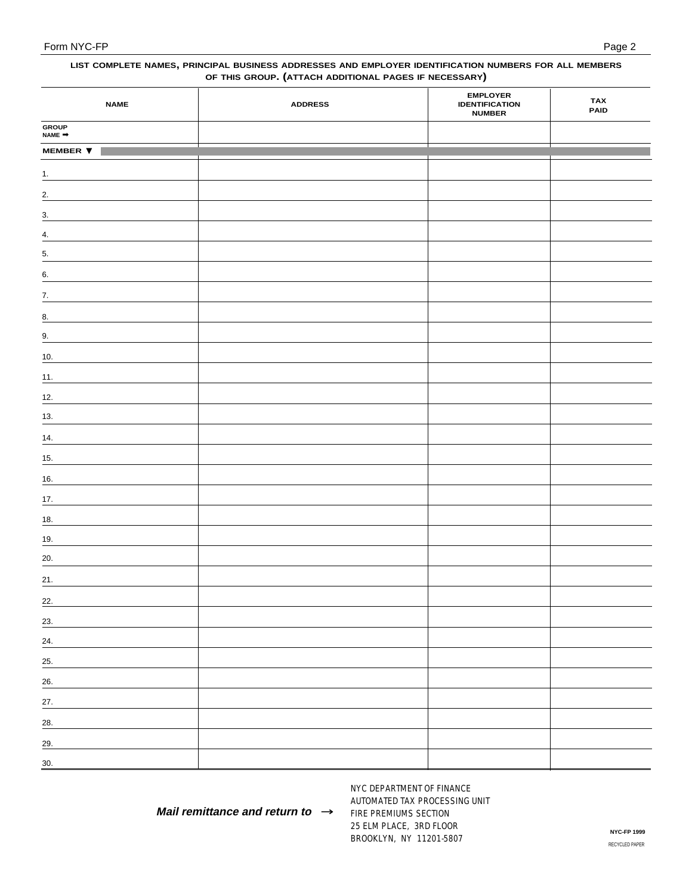#### **LIST COMPLETE NAMES, PRINCIPAL BUSINESS ADDRESSES AND EMPLOYER IDENTIFICATION NUMBERS FOR ALL MEMBERS OF THIS GROUP. (ATTACH ADDITIONAL PAGES IF NECESSARY)**

| <b>NAME</b>            | <b>ADDRESS</b> | <b>EMPLOYER</b><br><b>IDENTIFICATION</b><br><b>NUMBER</b> | <b>TAX</b><br>PAID |
|------------------------|----------------|-----------------------------------------------------------|--------------------|
| <b>GROUP</b><br>NAME ➡ |                |                                                           |                    |
| <b>MEMBER ▼</b>        |                |                                                           |                    |
| $\frac{1}{2}$          |                |                                                           |                    |
| $\overline{2}$ .       |                |                                                           |                    |
| $\frac{3}{2}$          |                |                                                           |                    |
| $\frac{4}{ }$          |                |                                                           |                    |
| 5.<br>-                |                |                                                           |                    |
| 6.<br>-                |                |                                                           |                    |
| 7.                     |                |                                                           |                    |
| $\underline{8}$ .      |                |                                                           |                    |
| 9.                     |                |                                                           |                    |
| $\underline{10}$ .     |                |                                                           |                    |
| 11.                    |                |                                                           |                    |
| $12.$                  |                |                                                           |                    |
| $13.$<br>-             |                |                                                           |                    |
| $14.$                  |                |                                                           |                    |
| 15.                    |                |                                                           |                    |
| $\underline{16}$ .     |                |                                                           |                    |
| 17.                    |                |                                                           |                    |
| 18.                    |                |                                                           |                    |
| 19.                    |                |                                                           |                    |
| 20.<br>-               |                |                                                           |                    |
| 21.                    |                |                                                           |                    |
| 22.                    |                |                                                           |                    |
| 23.                    |                |                                                           |                    |
| 24.                    |                |                                                           |                    |
| 25.                    |                |                                                           |                    |
| $\frac{26}{ }$         |                |                                                           |                    |
| 27.                    |                |                                                           |                    |
| 28.                    |                |                                                           |                    |
| 29.                    |                |                                                           |                    |
| 30.                    |                |                                                           |                    |

**Mail remittance and return to** →

NYC DEPARTMENT OF FINANCE AUTOMATED TAX PROCESSING UNIT FIRE PREMIUMS SECTION 25 ELM PLACE, 3RD FLOOR BROOKLYN, NY 11201-5807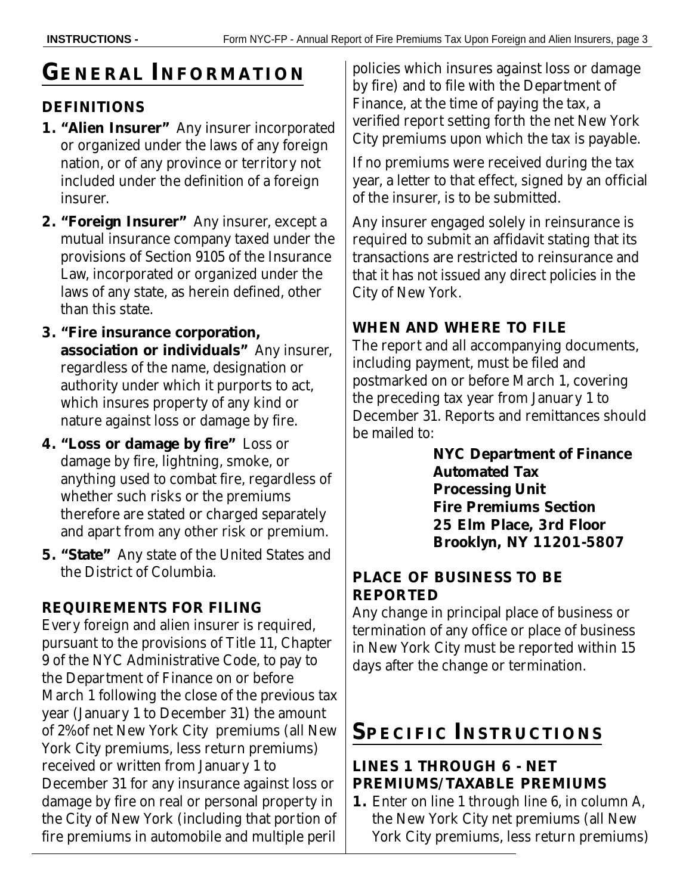# **GENERAL INFORMATION**

## **DEFINITIONS**

- **1. "Alien Insurer"** Any insurer incorporated or organized under the laws of any foreign nation, or of any province or territory not included under the definition of a foreign insurer.
- **2. "Foreign Insurer"** Any insurer, except a mutual insurance company taxed under the provisions of Section 9105 of the Insurance Law, incorporated or organized under the laws of any state, as herein defined, other than this state.
- **3. "Fire insurance corporation, association or individuals"** Any insurer, regardless of the name, designation or authority under which it purports to act, which insures property of any kind or nature against loss or damage by fire.
- **4. "Loss or damage by fire"** Loss or damage by fire, lightning, smoke, or anything used to combat fire, regardless of whether such risks or the premiums therefore are stated or charged separately and apart from any other risk or premium.
- **5. "State"** Any state of the United States and the District of Columbia.

# **REQUIREMENTS FOR FILING**

Every foreign and alien insurer is required, pursuant to the provisions of Title 11, Chapter 9 of the NYC Administrative Code, to pay to the Department of Finance on or before March 1 following the close of the previous tax year (January 1 to December 31) the amount of 2% of net New York City premiums (all New York City premiums, less return premiums) received or written from January 1 to December 31 for any insurance against loss or damage by fire on real or personal property in the City of New York (including that portion of fire premiums in automobile and multiple peril

policies which insures against loss or damage by fire) and to file with the Department of Finance, at the time of paying the tax, a verified report setting forth the net New York City premiums upon which the tax is payable.

If no premiums were received during the tax year, a letter to that effect, signed by an official of the insurer, is to be submitted.

Any insurer engaged solely in reinsurance is required to submit an affidavit stating that its transactions are restricted to reinsurance and that it has not issued any direct policies in the City of New York.

# **WHEN AND WHERE TO FILE**

The report and all accompanying documents, including payment, must be filed and postmarked on or before March 1, covering the preceding tax year from January 1 to December 31. Reports and remittances should be mailed to:

> **NYC Department of Finance Automated Tax Processing Unit Fire Premiums Section 25 Elm Place, 3rd Floor Brooklyn, NY 11201-5807**

### **PLACE OF BUSINESS TO BE REPORTED**

Any change in principal place of business or termination of any office or place of business in New York City must be reported within 15 days after the change or termination.

# **SPECIFIC INSTRUCTIONS**

### **LINES 1 THROUGH 6 - NET PREMIUMS/TAXABLE PREMIUMS**

**1.** Enter on line 1 through line 6, in column A, the New York City net premiums (all New York City premiums, less return premiums)